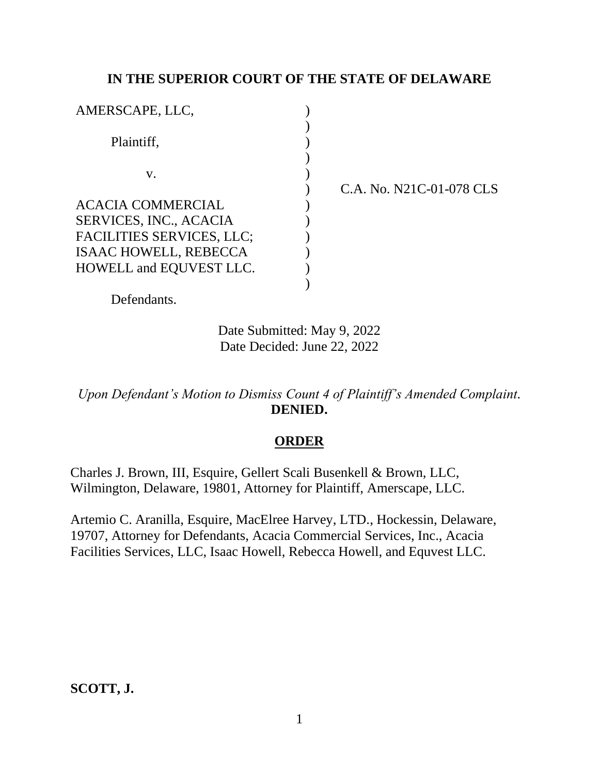# **IN THE SUPERIOR COURT OF THE STATE OF DELAWARE**

| AMERSCAPE, LLC,                                                                                                                                                 |  |
|-----------------------------------------------------------------------------------------------------------------------------------------------------------------|--|
| Plaintiff,                                                                                                                                                      |  |
| V.                                                                                                                                                              |  |
| <b>ACACIA COMMERCIAL</b><br><b>SERVICES, INC., ACACIA</b><br><b>FACILITIES SERVICES, LLC;</b><br><b>ISAAC HOWELL, REBECCA</b><br><b>HOWELL and EQUVEST LLC.</b> |  |

) C.A. No. N21C-01-078 CLS

Defendants.

Date Submitted: May 9, 2022 Date Decided: June 22, 2022

*Upon Defendant's Motion to Dismiss Count 4 of Plaintiff's Amended Complaint.* **DENIED.**

# **ORDER**

Charles J. Brown, III, Esquire, Gellert Scali Busenkell & Brown, LLC, Wilmington, Delaware, 19801, Attorney for Plaintiff, Amerscape, LLC.

Artemio C. Aranilla, Esquire, MacElree Harvey, LTD., Hockessin, Delaware, 19707, Attorney for Defendants, Acacia Commercial Services, Inc., Acacia Facilities Services, LLC, Isaac Howell, Rebecca Howell, and Equvest LLC.

# **SCOTT, J.**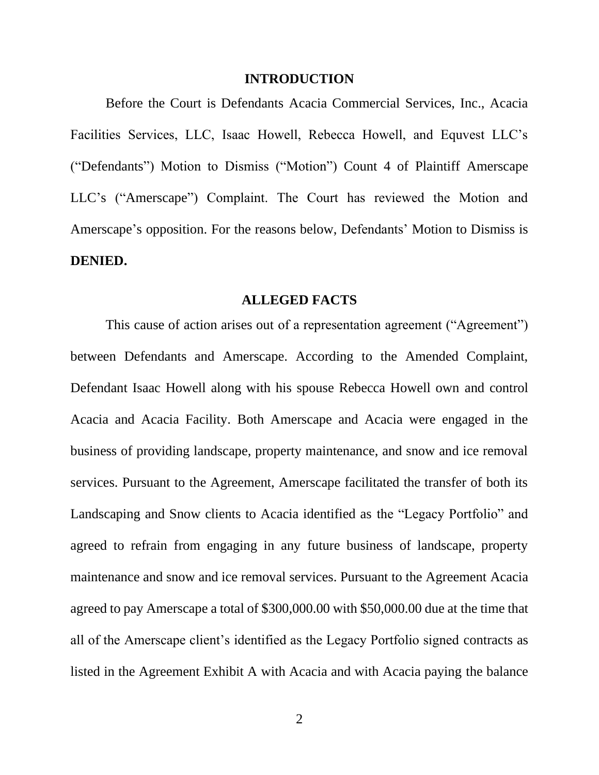#### **INTRODUCTION**

Before the Court is Defendants Acacia Commercial Services, Inc., Acacia Facilities Services, LLC, Isaac Howell, Rebecca Howell, and Equvest LLC's ("Defendants") Motion to Dismiss ("Motion") Count 4 of Plaintiff Amerscape LLC's ("Amerscape") Complaint. The Court has reviewed the Motion and Amerscape's opposition. For the reasons below, Defendants' Motion to Dismiss is **DENIED.**

#### **ALLEGED FACTS**

This cause of action arises out of a representation agreement ("Agreement") between Defendants and Amerscape. According to the Amended Complaint, Defendant Isaac Howell along with his spouse Rebecca Howell own and control Acacia and Acacia Facility. Both Amerscape and Acacia were engaged in the business of providing landscape, property maintenance, and snow and ice removal services. Pursuant to the Agreement, Amerscape facilitated the transfer of both its Landscaping and Snow clients to Acacia identified as the "Legacy Portfolio" and agreed to refrain from engaging in any future business of landscape, property maintenance and snow and ice removal services. Pursuant to the Agreement Acacia agreed to pay Amerscape a total of \$300,000.00 with \$50,000.00 due at the time that all of the Amerscape client's identified as the Legacy Portfolio signed contracts as listed in the Agreement Exhibit A with Acacia and with Acacia paying the balance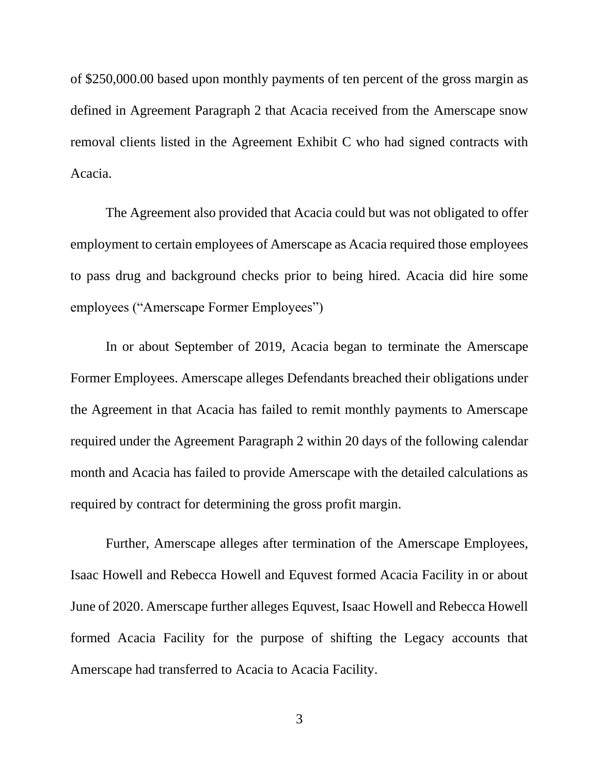of \$250,000.00 based upon monthly payments of ten percent of the gross margin as defined in Agreement Paragraph 2 that Acacia received from the Amerscape snow removal clients listed in the Agreement Exhibit C who had signed contracts with Acacia.

The Agreement also provided that Acacia could but was not obligated to offer employment to certain employees of Amerscape as Acacia required those employees to pass drug and background checks prior to being hired. Acacia did hire some employees ("Amerscape Former Employees")

In or about September of 2019, Acacia began to terminate the Amerscape Former Employees. Amerscape alleges Defendants breached their obligations under the Agreement in that Acacia has failed to remit monthly payments to Amerscape required under the Agreement Paragraph 2 within 20 days of the following calendar month and Acacia has failed to provide Amerscape with the detailed calculations as required by contract for determining the gross profit margin.

Further, Amerscape alleges after termination of the Amerscape Employees, Isaac Howell and Rebecca Howell and Equvest formed Acacia Facility in or about June of 2020. Amerscape further alleges Equvest, Isaac Howell and Rebecca Howell formed Acacia Facility for the purpose of shifting the Legacy accounts that Amerscape had transferred to Acacia to Acacia Facility.

3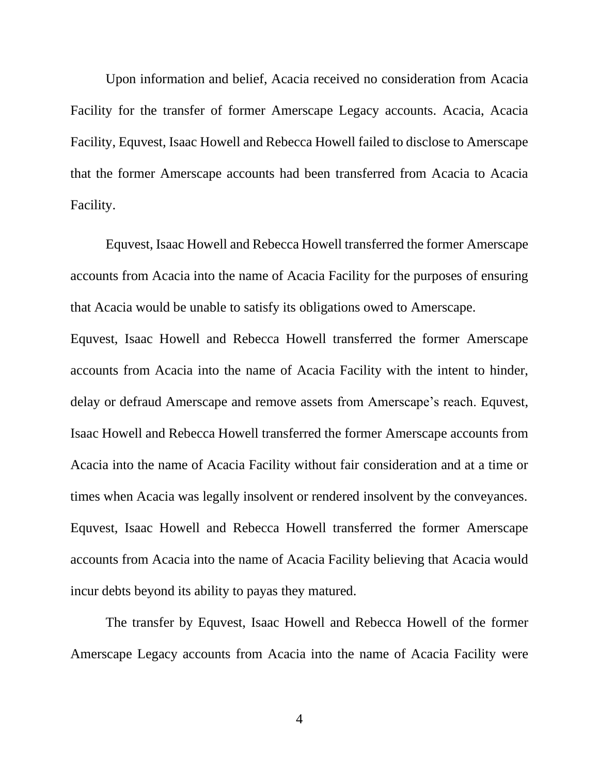Upon information and belief, Acacia received no consideration from Acacia Facility for the transfer of former Amerscape Legacy accounts. Acacia, Acacia Facility, Equvest, Isaac Howell and Rebecca Howell failed to disclose to Amerscape that the former Amerscape accounts had been transferred from Acacia to Acacia Facility.

Equvest, Isaac Howell and Rebecca Howell transferred the former Amerscape accounts from Acacia into the name of Acacia Facility for the purposes of ensuring that Acacia would be unable to satisfy its obligations owed to Amerscape.

Equvest, Isaac Howell and Rebecca Howell transferred the former Amerscape accounts from Acacia into the name of Acacia Facility with the intent to hinder, delay or defraud Amerscape and remove assets from Amerscape's reach. Equvest, Isaac Howell and Rebecca Howell transferred the former Amerscape accounts from Acacia into the name of Acacia Facility without fair consideration and at a time or times when Acacia was legally insolvent or rendered insolvent by the conveyances. Equvest, Isaac Howell and Rebecca Howell transferred the former Amerscape accounts from Acacia into the name of Acacia Facility believing that Acacia would incur debts beyond its ability to payas they matured.

The transfer by Equvest, Isaac Howell and Rebecca Howell of the former Amerscape Legacy accounts from Acacia into the name of Acacia Facility were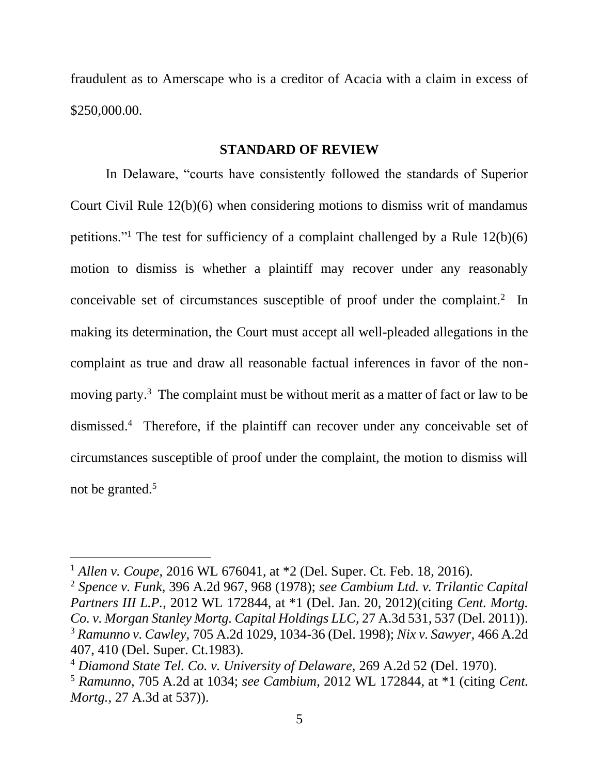fraudulent as to Amerscape who is a creditor of Acacia with a claim in excess of \$250,000.00.

### **STANDARD OF REVIEW**

In Delaware, "courts have consistently followed the standards of Superior Court Civil Rule 12(b)(6) when considering motions to dismiss writ of mandamus petitions."<sup>1</sup> The test for sufficiency of a complaint challenged by a Rule  $12(b)(6)$ motion to dismiss is whether a plaintiff may recover under any reasonably conceivable set of circumstances susceptible of proof under the complaint.<sup>2</sup> In making its determination, the Court must accept all well-pleaded allegations in the complaint as true and draw all reasonable factual inferences in favor of the nonmoving party.<sup>3</sup> The complaint must be without merit as a matter of fact or law to be dismissed.<sup>4</sup> Therefore, if the plaintiff can recover under any conceivable set of circumstances susceptible of proof under the complaint, the motion to dismiss will not be granted.<sup>5</sup>

<sup>1</sup> *Allen v. Coupe*, 2016 WL 676041, at \*2 (Del. Super. Ct. Feb. 18, 2016).

<sup>2</sup> *Spence v. Funk,* 396 A.2d 967, 968 (1978); *see Cambium Ltd. v. Trilantic Capital Partners III L.P.*, 2012 WL 172844, at \*1 (Del. Jan. 20, 2012)(citing *Cent. Mortg. Co. v. Morgan Stanley Mortg. Capital Holdings LLC*, 27 A.3d 531, 537 (Del. 2011)). <sup>3</sup> *Ramunno v. Cawley,* 705 A.2d 1029, 1034-36 (Del. 1998); *Nix v. Sawyer,* 466 A.2d 407, 410 (Del. Super. Ct.1983).

<sup>4</sup> *Diamond State Tel. Co. v. University of Delaware,* 269 A.2d 52 (Del. 1970).

<sup>5</sup> *Ramunno*, 705 A.2d at 1034; *see Cambium*, 2012 WL 172844, at \*1 (citing *Cent. Mortg.*, 27 A.3d at 537)).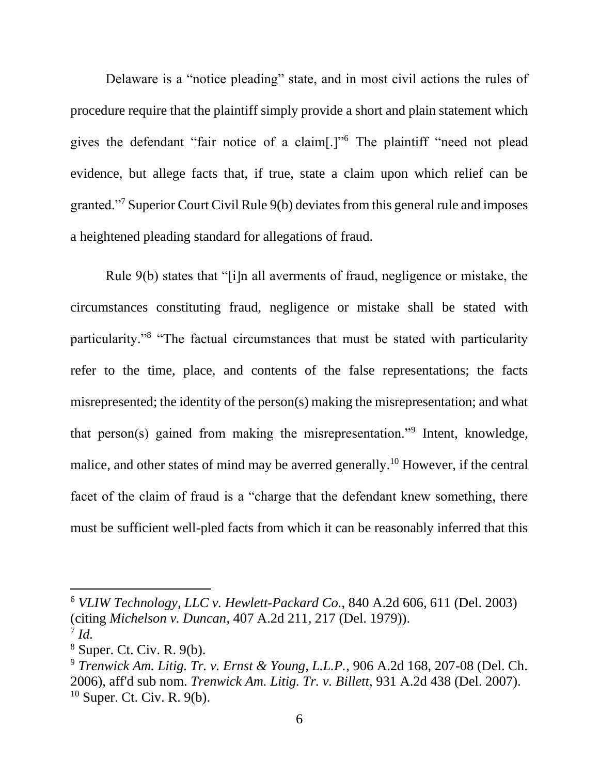Delaware is a "notice pleading" state, and in most civil actions the rules of procedure require that the plaintiff simply provide a short and plain statement which gives the defendant "fair notice of a claim[.]"<sup>6</sup> The plaintiff "need not plead evidence, but allege facts that, if true, state a claim upon which relief can be granted."<sup>7</sup> Superior Court Civil Rule 9(b) deviates from this general rule and imposes a heightened pleading standard for allegations of fraud.

Rule 9(b) states that "[i]n all averments of fraud, negligence or mistake, the circumstances constituting fraud, negligence or mistake shall be stated with particularity."<sup>8</sup> "The factual circumstances that must be stated with particularity refer to the time, place, and contents of the false representations; the facts misrepresented; the identity of the person(s) making the misrepresentation; and what that person(s) gained from making the misrepresentation."<sup>9</sup> Intent, knowledge, malice, and other states of mind may be averred generally.<sup>10</sup> However, if the central facet of the claim of fraud is a "charge that the defendant knew something, there must be sufficient well-pled facts from which it can be reasonably inferred that this

<sup>6</sup> *VLIW Technology, LLC v. Hewlett-Packard Co.*, 840 A.2d 606, 611 (Del. 2003) (citing *Michelson v. Duncan*, 407 A.2d 211, 217 (Del. 1979)). 7 *Id.*

<sup>8</sup> Super. Ct. Civ. R. 9(b).

<sup>9</sup> *Trenwick Am. Litig. Tr. v. Ernst & Young, L.L.P.*, 906 A.2d 168, 207-08 (Del. Ch. 2006), aff'd sub nom. *Trenwick Am. Litig. Tr. v. Billett*, 931 A.2d 438 (Del. 2007).  $10$  Super. Ct. Civ. R. 9(b).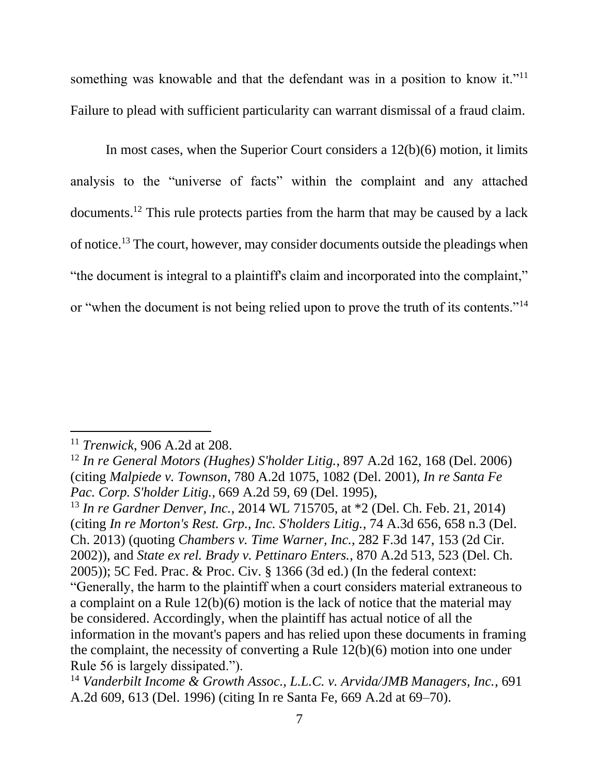something was knowable and that the defendant was in a position to know it."<sup>11</sup> Failure to plead with sufficient particularity can warrant dismissal of a fraud claim.

In most cases, when the Superior Court considers a 12(b)(6) motion, it limits analysis to the "universe of facts" within the complaint and any attached documents.<sup>12</sup> This rule protects parties from the harm that may be caused by a lack of notice.<sup>13</sup> The court, however, may consider documents outside the pleadings when "the document is integral to a plaintiff's claim and incorporated into the complaint," or "when the document is not being relied upon to prove the truth of its contents."<sup>14</sup>

<sup>11</sup> *Trenwick*, 906 A.2d at 208.

<sup>12</sup> *In re General Motors (Hughes) S'holder Litig.*, 897 A.2d 162, 168 (Del. 2006) (citing *Malpiede v. Townson*, 780 A.2d 1075, 1082 (Del. 2001), *In re Santa Fe Pac. Corp. S'holder Litig.*, 669 A.2d 59, 69 (Del. 1995),

<sup>13</sup> *In re Gardner Denver, Inc.*, 2014 WL 715705, at \*2 (Del. Ch. Feb. 21, 2014) (citing *In re Morton's Rest. Grp., Inc. S'holders Litig.*, 74 A.3d 656, 658 n.3 (Del. Ch. 2013) (quoting *Chambers v. Time Warner, Inc.*, 282 F.3d 147, 153 (2d Cir. 2002)), and *State ex rel. Brady v. Pettinaro Enters.*, 870 A.2d 513, 523 (Del. Ch. 2005)); 5C Fed. Prac. & Proc. Civ. § 1366 (3d ed.) (In the federal context: "Generally, the harm to the plaintiff when a court considers material extraneous to a complaint on a Rule 12(b)(6) motion is the lack of notice that the material may be considered. Accordingly, when the plaintiff has actual notice of all the information in the movant's papers and has relied upon these documents in framing the complaint, the necessity of converting a Rule 12(b)(6) motion into one under Rule 56 is largely dissipated.").

<sup>14</sup> *Vanderbilt Income & Growth Assoc., L.L.C. v. Arvida/JMB Managers, Inc.*, 691 A.2d 609, 613 (Del. 1996) (citing In re Santa Fe, 669 A.2d at 69–70).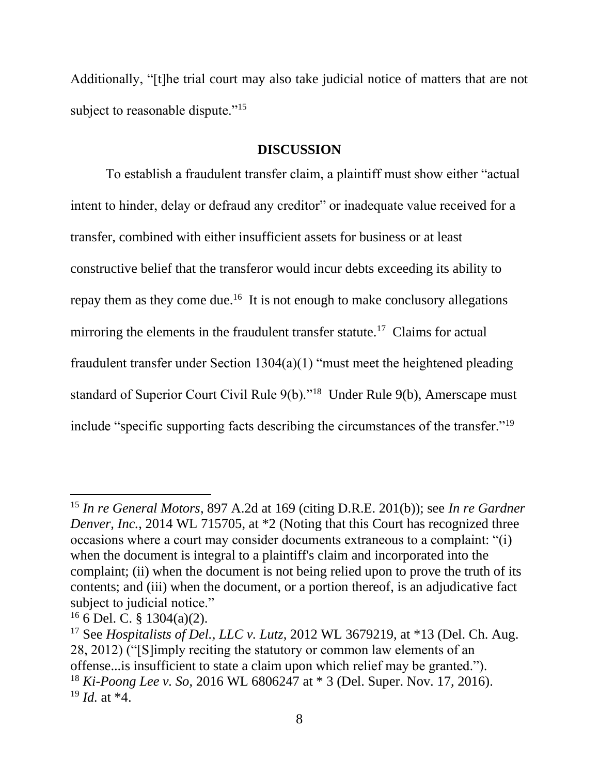Additionally, "[t]he trial court may also take judicial notice of matters that are not subject to reasonable dispute."<sup>15</sup>

### **DISCUSSION**

To establish a fraudulent transfer claim, a plaintiff must show either "actual intent to hinder, delay or defraud any creditor" or inadequate value received for a transfer, combined with either insufficient assets for business or at least constructive belief that the transferor would incur debts exceeding its ability to repay them as they come due.<sup>16</sup> It is not enough to make conclusory allegations mirroring the elements in the fraudulent transfer statute.<sup>17</sup> Claims for actual fraudulent transfer under Section 1304(a)(1) "must meet the heightened pleading standard of Superior Court Civil Rule 9(b)."<sup>18</sup> Under Rule 9(b), Amerscape must include "specific supporting facts describing the circumstances of the transfer."<sup>19</sup>

<sup>15</sup> *In re General Motors*, 897 A.2d at 169 (citing D.R.E. 201(b)); see *In re Gardner Denver, Inc.*, 2014 WL 715705, at  $*2$  (Noting that this Court has recognized three occasions where a court may consider documents extraneous to a complaint: "(i) when the document is integral to a plaintiff's claim and incorporated into the complaint; (ii) when the document is not being relied upon to prove the truth of its contents; and (iii) when the document, or a portion thereof, is an adjudicative fact subject to judicial notice."

 $16$  6 Del. C. § 1304(a)(2).

<sup>17</sup> See *Hospitalists of Del., LLC v. Lutz*, 2012 WL 3679219, at \*13 (Del. Ch. Aug. 28, 2012) ("[S]imply reciting the statutory or common law elements of an offense...is insufficient to state a claim upon which relief may be granted."). <sup>18</sup> *Ki-Poong Lee v. So*, 2016 WL 6806247 at \* 3 (Del. Super. Nov. 17, 2016). <sup>19</sup> *Id.* at \*4.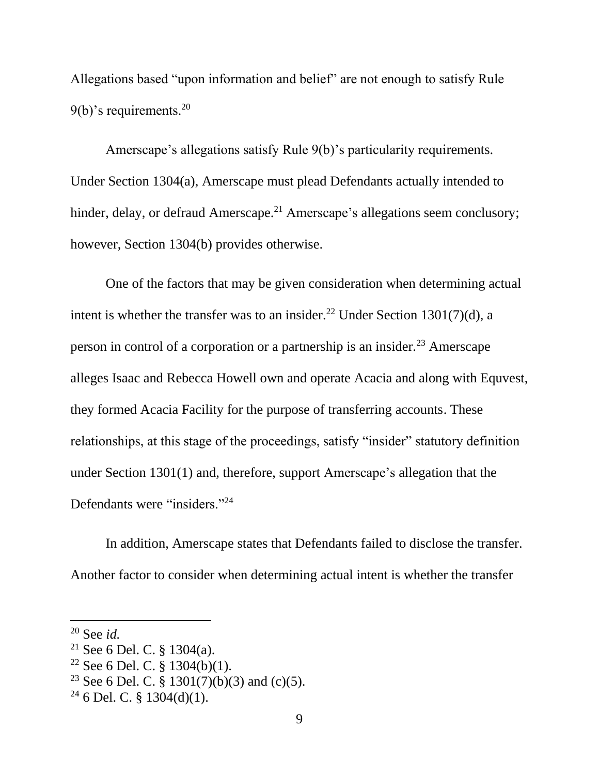Allegations based "upon information and belief" are not enough to satisfy Rule  $9(b)$ 's requirements.<sup>20</sup>

Amerscape's allegations satisfy Rule 9(b)'s particularity requirements. Under Section 1304(a), Amerscape must plead Defendants actually intended to hinder, delay, or defraud Amerscape.<sup>21</sup> Amerscape's allegations seem conclusory; however, Section 1304(b) provides otherwise.

One of the factors that may be given consideration when determining actual intent is whether the transfer was to an insider.<sup>22</sup> Under Section 1301(7)(d), a person in control of a corporation or a partnership is an insider.<sup>23</sup> Amerscape alleges Isaac and Rebecca Howell own and operate Acacia and along with Equvest, they formed Acacia Facility for the purpose of transferring accounts. These relationships, at this stage of the proceedings, satisfy "insider" statutory definition under Section 1301(1) and, therefore, support Amerscape's allegation that the Defendants were "insiders."<sup>24</sup>

In addition, Amerscape states that Defendants failed to disclose the transfer. Another factor to consider when determining actual intent is whether the transfer

<sup>20</sup> See *id.*

<sup>21</sup> See 6 Del. C. § 1304(a).

<sup>&</sup>lt;sup>22</sup> See 6 Del. C.  $\S$  1304(b)(1).

<sup>&</sup>lt;sup>23</sup> See 6 Del. C. § 1301(7)(b)(3) and (c)(5).

 $24$  6 Del. C. § 1304(d)(1).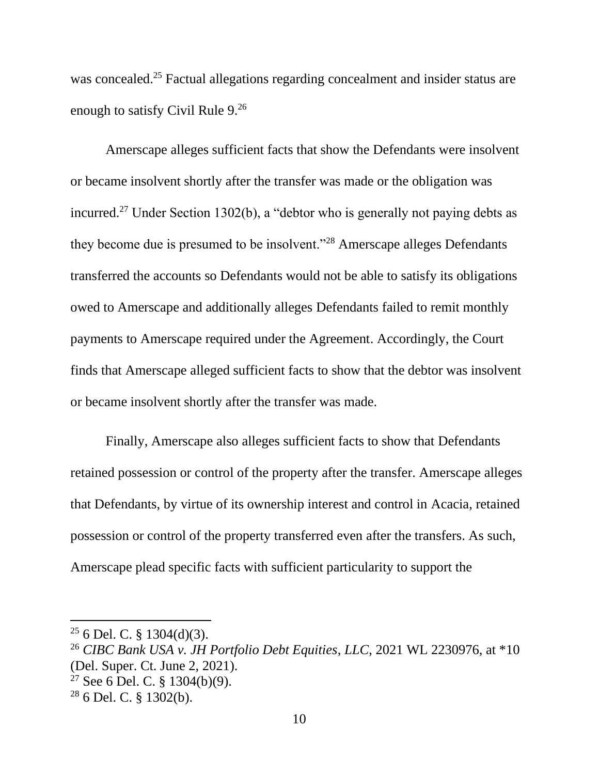was concealed.<sup>25</sup> Factual allegations regarding concealment and insider status are enough to satisfy Civil Rule 9.<sup>26</sup>

Amerscape alleges sufficient facts that show the Defendants were insolvent or became insolvent shortly after the transfer was made or the obligation was incurred.<sup>27</sup> Under Section 1302(b), a "debtor who is generally not paying debts as they become due is presumed to be insolvent."<sup>28</sup> Amerscape alleges Defendants transferred the accounts so Defendants would not be able to satisfy its obligations owed to Amerscape and additionally alleges Defendants failed to remit monthly payments to Amerscape required under the Agreement. Accordingly, the Court finds that Amerscape alleged sufficient facts to show that the debtor was insolvent or became insolvent shortly after the transfer was made.

Finally, Amerscape also alleges sufficient facts to show that Defendants retained possession or control of the property after the transfer. Amerscape alleges that Defendants, by virtue of its ownership interest and control in Acacia, retained possession or control of the property transferred even after the transfers. As such, Amerscape plead specific facts with sufficient particularity to support the

- <sup>26</sup> *CIBC Bank USA v. JH Portfolio Debt Equities*, *LLC*, 2021 WL 2230976, at \*10 (Del. Super. Ct. June 2, 2021).
- $27$  See 6 Del. C. § 1304(b)(9).

 $25$  6 Del. C. § 1304(d)(3).

 $28$  6 Del. C. § 1302(b).